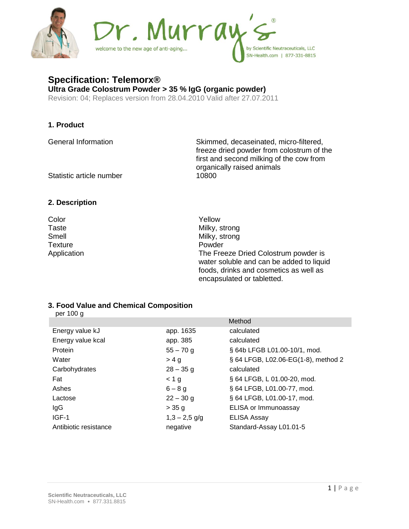

# **Specification: Telemorx®**

**Ultra Grade Colostrum Powder > 35 % IgG (organic powder)** Revision: 04; Replaces version from 28.04.2010 Valid after 27.07.2011

### **1. Product**

General Information Skimmed, decaseinated, micro-filtered, freeze dried powder from colostrum of the first and second milking of the cow from organically raised animals

Statistic article number 10800

## **2. Description**

Color Yellow Milky, strong Smell Milky, strong Texture **Powder** Application **Application** The Freeze Dried Colostrum powder is water soluble and can be added to liquid foods, drinks and cosmetics as well as encapsulated or tabletted.

#### **3. Food Value and Chemical Composition**  per 100 g

| per too y             |                 |                                     |
|-----------------------|-----------------|-------------------------------------|
|                       |                 | Method                              |
| Energy value kJ       | app. 1635       | calculated                          |
| Energy value kcal     | app. 385        | calculated                          |
| Protein               | $55 - 70$ g     | § 64b LFGB L01.00-10/1, mod.        |
| Water                 | > 4 a           | § 64 LFGB, L02.06-EG(1-8), method 2 |
| Carbohydrates         | $28 - 35$ g     | calculated                          |
| Fat                   | < 1 g           | § 64 LFGB, L 01.00-20, mod.         |
| Ashes                 | $6 - 8$ g       | § 64 LFGB, L01.00-77, mod.          |
| Lactose               | $22 - 30$ g     | § 64 LFGB, L01.00-17, mod.          |
| IgG                   | $>$ 35 g        | ELISA or Immunoassay                |
| $IGF-1$               | $1,3 - 2,5$ g/g | <b>ELISA Assay</b>                  |
| Antibiotic resistance | negative        | Standard-Assay L01.01-5             |
|                       |                 |                                     |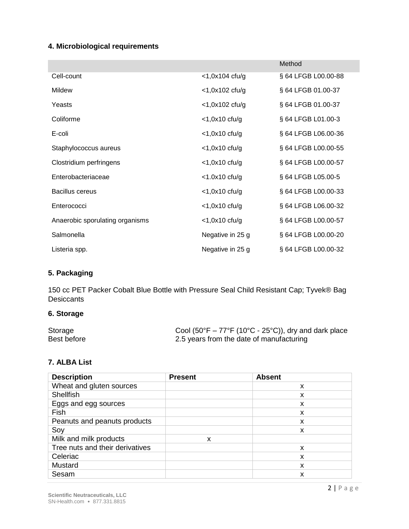# **4. Microbiological requirements**

|                                 |                      | Method              |
|---------------------------------|----------------------|---------------------|
| Cell-count                      | $<$ 1,0x104 cfu/g    | § 64 LFGB L00.00-88 |
| <b>Mildew</b>                   | $<$ 1,0x102 cfu/g    | § 64 LFGB 01.00-37  |
| Yeasts                          | $<$ 1,0x102 cfu/g    | § 64 LFGB 01.00-37  |
| Coliforme                       | $<$ 1,0 $x$ 10 cfu/g | § 64 LFGB L01.00-3  |
| E-coli                          | $<$ 1,0 $x$ 10 cfu/g | § 64 LFGB L06.00-36 |
| Staphylococcus aureus           | $<$ 1,0x10 cfu/g     | § 64 LFGB L00.00-55 |
| Clostridium perfringens         | $<$ 1,0 $x$ 10 cfu/g | § 64 LFGB L00.00-57 |
| Enterobacteriaceae              | $<$ 1.0x10 cfu/g     | § 64 LFGB L05.00-5  |
| <b>Bacillus cereus</b>          | $<$ 1,0 $x$ 10 cfu/g | § 64 LFGB L00.00-33 |
| Enterococci                     | $<$ 1,0 $x$ 10 cfu/g | § 64 LFGB L06.00-32 |
| Anaerobic sporulating organisms | $<$ 1,0 $x$ 10 cfu/g | § 64 LFGB L00.00-57 |
| Salmonella                      | Negative in 25 g     | § 64 LFGB L00.00-20 |
| Listeria spp.                   | Negative in 25 g     | § 64 LFGB L00.00-32 |

# **5. Packaging**

150 cc PET Packer Cobalt Blue Bottle with Pressure Seal Child Resistant Cap; Tyvek® Bag **Desiccants** 

# **6. Storage**

| Storage     | Cool (50°F – 77°F (10°C - 25°C)), dry and dark place |
|-------------|------------------------------------------------------|
| Best before | 2.5 years from the date of manufacturing             |

#### **7. ALBA List**

| <b>Description</b>              | <b>Present</b> | <b>Absent</b> |
|---------------------------------|----------------|---------------|
| Wheat and gluten sources        |                | X             |
| <b>Shellfish</b>                |                | X             |
| Eggs and egg sources            |                | X             |
| Fish                            |                | X             |
| Peanuts and peanuts products    |                | X             |
| Soy                             |                | x             |
| Milk and milk products          | X              |               |
| Tree nuts and their derivatives |                | X             |
| Celeriac                        |                | X             |
| Mustard                         |                | X             |
| Sesam                           |                | x             |